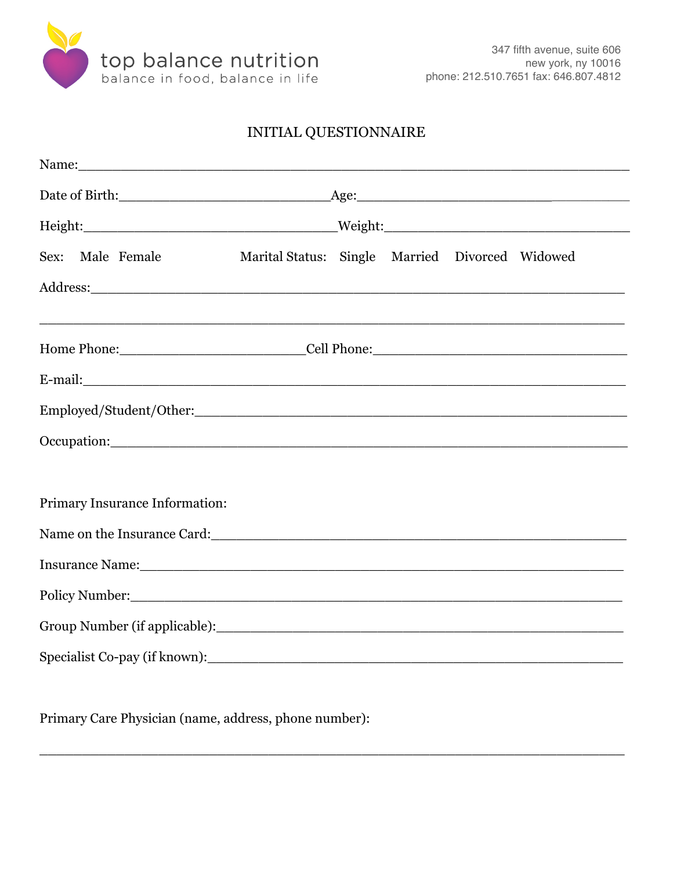

## INITIAL QUESTIONNAIRE

| Name:                                                                                                                                                                                                                          |                                                 |  |  |  |  |  |
|--------------------------------------------------------------------------------------------------------------------------------------------------------------------------------------------------------------------------------|-------------------------------------------------|--|--|--|--|--|
|                                                                                                                                                                                                                                |                                                 |  |  |  |  |  |
|                                                                                                                                                                                                                                |                                                 |  |  |  |  |  |
| Sex: Male Female                                                                                                                                                                                                               | Marital Status: Single Married Divorced Widowed |  |  |  |  |  |
|                                                                                                                                                                                                                                |                                                 |  |  |  |  |  |
|                                                                                                                                                                                                                                |                                                 |  |  |  |  |  |
|                                                                                                                                                                                                                                |                                                 |  |  |  |  |  |
| E-mail: and the contract of the contract of the contract of the contract of the contract of the contract of the contract of the contract of the contract of the contract of the contract of the contract of the contract of th |                                                 |  |  |  |  |  |
|                                                                                                                                                                                                                                |                                                 |  |  |  |  |  |
|                                                                                                                                                                                                                                |                                                 |  |  |  |  |  |
|                                                                                                                                                                                                                                |                                                 |  |  |  |  |  |
| Primary Insurance Information:                                                                                                                                                                                                 |                                                 |  |  |  |  |  |
| Name on the Insurance Card: 1997 and 1997 and 1997 and 1997 and 1997 and 1997 and 1997 and 1997 and 1997 and 1                                                                                                                 |                                                 |  |  |  |  |  |
|                                                                                                                                                                                                                                |                                                 |  |  |  |  |  |
| Policy Number: 2008 Company Company Company Company Company Company Company Company Company Company Company Company Company Company Company Company Company Company Company Company Company Company Company Company Company Co |                                                 |  |  |  |  |  |
|                                                                                                                                                                                                                                |                                                 |  |  |  |  |  |
|                                                                                                                                                                                                                                |                                                 |  |  |  |  |  |

Primary Care Physician (name, address, phone number):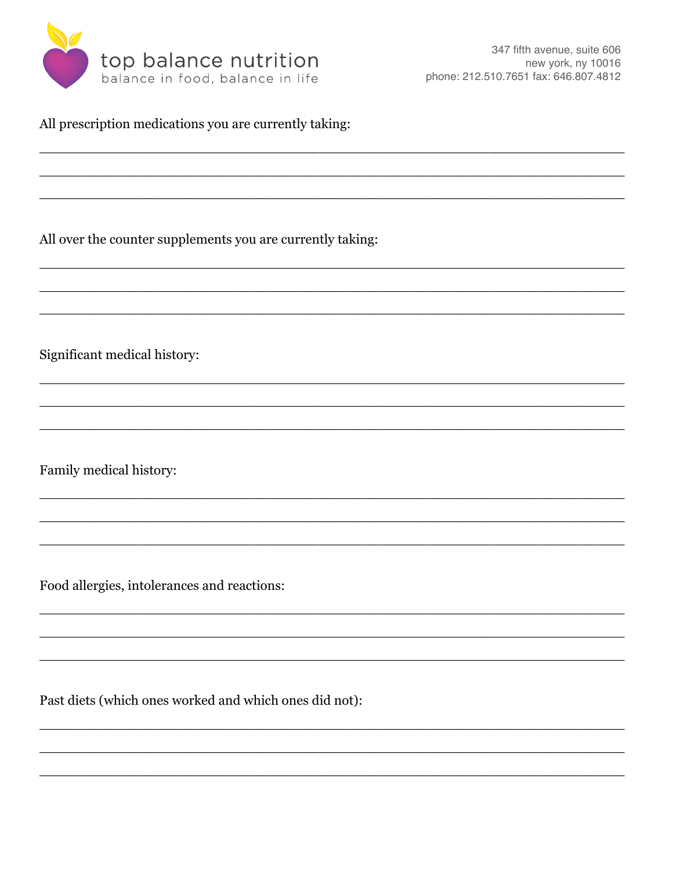

All prescription medications you are currently taking:

All over the counter supplements you are currently taking:

Significant medical history:

Family medical history:

Food allergies, intolerances and reactions:

Past diets (which ones worked and which ones did not):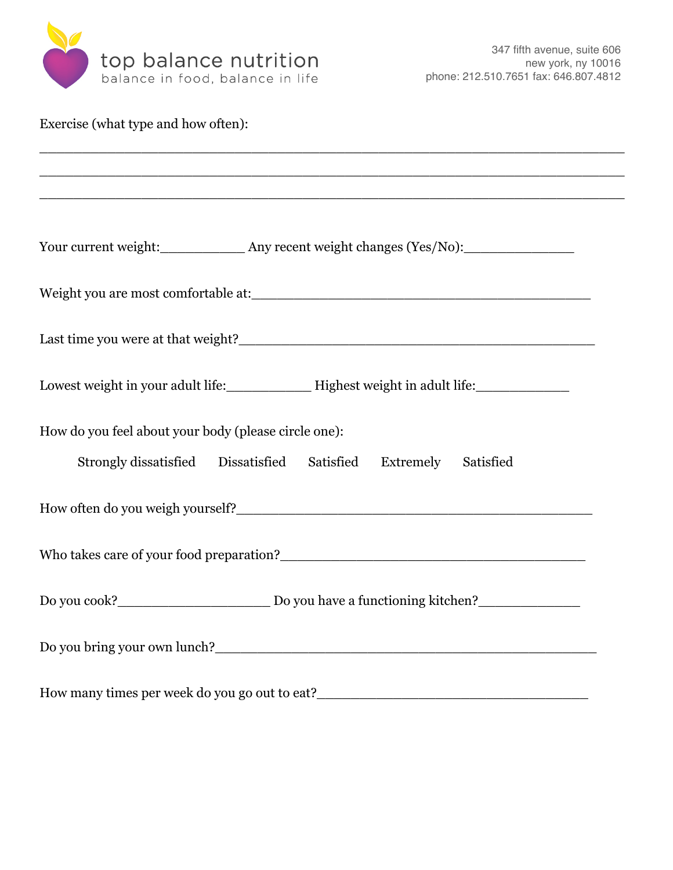

| Exercise (what type and how often):                                                     |
|-----------------------------------------------------------------------------------------|
|                                                                                         |
| Your current weight: ______________ Any recent weight changes (Yes/No): _______________ |
|                                                                                         |
|                                                                                         |
|                                                                                         |
| How do you feel about your body (please circle one):                                    |
| Strongly dissatisfied Dissatisfied Satisfied Extremely Satisfied                        |
|                                                                                         |
|                                                                                         |
|                                                                                         |
|                                                                                         |
|                                                                                         |